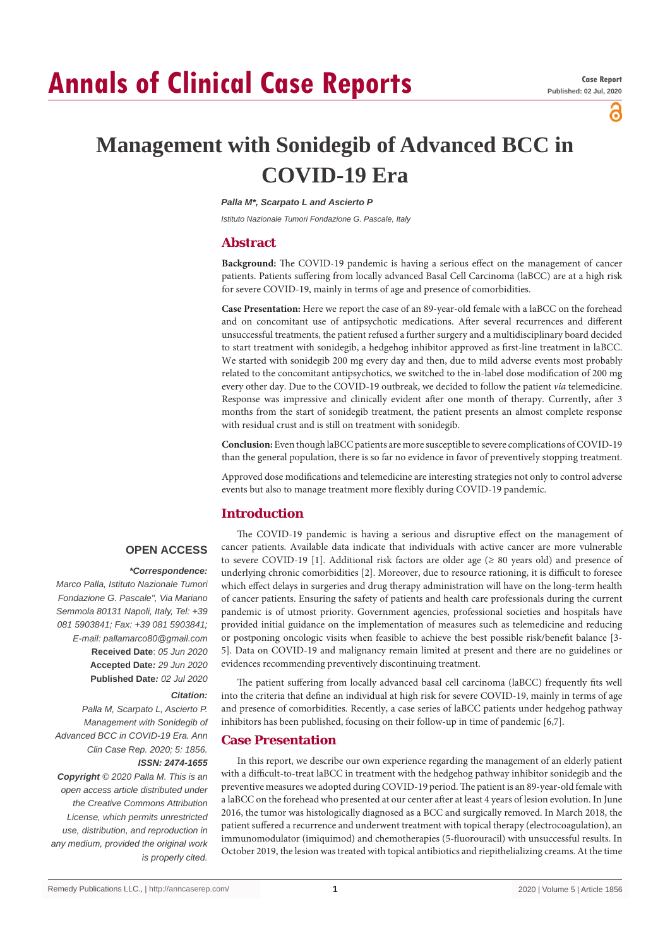# **Annals of Clinical Case Reports**

്

# **Management with Sonidegib of Advanced BCC in COVID-19 Era**

*Palla M\*, Scarpato L and Ascierto P*

*Istituto Nazionale Tumori Fondazione G. Pascale, Italy*

# **Abstract**

**Background:** The COVID-19 pandemic is having a serious effect on the management of cancer patients. Patients suffering from locally advanced Basal Cell Carcinoma (laBCC) are at a high risk for severe COVID-19, mainly in terms of age and presence of comorbidities.

**Case Presentation:** Here we report the case of an 89-year-old female with a laBCC on the forehead and on concomitant use of antipsychotic medications. After several recurrences and different unsuccessful treatments, the patient refused a further surgery and a multidisciplinary board decided to start treatment with sonidegib, a hedgehog inhibitor approved as first-line treatment in laBCC. We started with sonidegib 200 mg every day and then, due to mild adverse events most probably related to the concomitant antipsychotics, we switched to the in-label dose modification of 200 mg every other day. Due to the COVID-19 outbreak, we decided to follow the patient *via* telemedicine. Response was impressive and clinically evident after one month of therapy. Currently, after 3 months from the start of sonidegib treatment, the patient presents an almost complete response with residual crust and is still on treatment with sonidegib.

**Conclusion:** Even though laBCC patients are more susceptible to severe complications of COVID-19 than the general population, there is so far no evidence in favor of preventively stopping treatment.

Approved dose modifications and telemedicine are interesting strategies not only to control adverse events but also to manage treatment more flexibly during COVID-19 pandemic.

# **Introduction**

# **OPEN ACCESS**

#### *\*Correspondence:*

*Marco Palla, Istituto Nazionale Tumori Fondazione G. Pascale", Via Mariano Semmola 80131 Napoli, Italy, Tel: +39 081 5903841; Fax: +39 081 5903841; E-mail: pallamarco80@gmail.com* **Received Date**: *05 Jun 2020* **Accepted Date***: 29 Jun 2020* **Published Date***: 02 Jul 2020*

#### *Citation:*

*Palla M, Scarpato L, Ascierto P. Management with Sonidegib of Advanced BCC in COVID-19 Era. Ann Clin Case Rep. 2020; 5: 1856. ISSN: 2474-1655*

*Copyright © 2020 Palla M. This is an open access article distributed under the Creative Commons Attribution License, which permits unrestricted use, distribution, and reproduction in any medium, provided the original work is properly cited.*

The COVID-19 pandemic is having a serious and disruptive effect on the management of cancer patients. Available data indicate that individuals with active cancer are more vulnerable to severe COVID-19 [1]. Additional risk factors are older age  $(≥ 80$  years old) and presence of underlying chronic comorbidities [2]. Moreover, due to resource rationing, it is difficult to foresee which effect delays in surgeries and drug therapy administration will have on the long-term health of cancer patients. Ensuring the safety of patients and health care professionals during the current pandemic is of utmost priority. Government agencies, professional societies and hospitals have provided initial guidance on the implementation of measures such as telemedicine and reducing or postponing oncologic visits when feasible to achieve the best possible risk/benefit balance [3- 5]. Data on COVID-19 and malignancy remain limited at present and there are no guidelines or evidences recommending preventively discontinuing treatment.

The patient suffering from locally advanced basal cell carcinoma (laBCC) frequently fits well into the criteria that define an individual at high risk for severe COVID-19, mainly in terms of age and presence of comorbidities. Recently, a case series of laBCC patients under hedgehog pathway inhibitors has been published, focusing on their follow-up in time of pandemic [6,7].

# **Case Presentation**

In this report, we describe our own experience regarding the management of an elderly patient with a difficult-to-treat laBCC in treatment with the hedgehog pathway inhibitor sonidegib and the preventive measures we adopted during COVID-19 period. The patient is an 89-year-old female with a laBCC on the forehead who presented at our center after at least 4 years of lesion evolution. In June 2016, the tumor was histologically diagnosed as a BCC and surgically removed. In March 2018, the patient suffered a recurrence and underwent treatment with topical therapy (electrocoagulation), an immunomodulator (imiquimod) and chemotherapies (5-fluorouracil) with unsuccessful results. In October 2019, the lesion was treated with topical antibiotics and riepithelializing creams. At the time